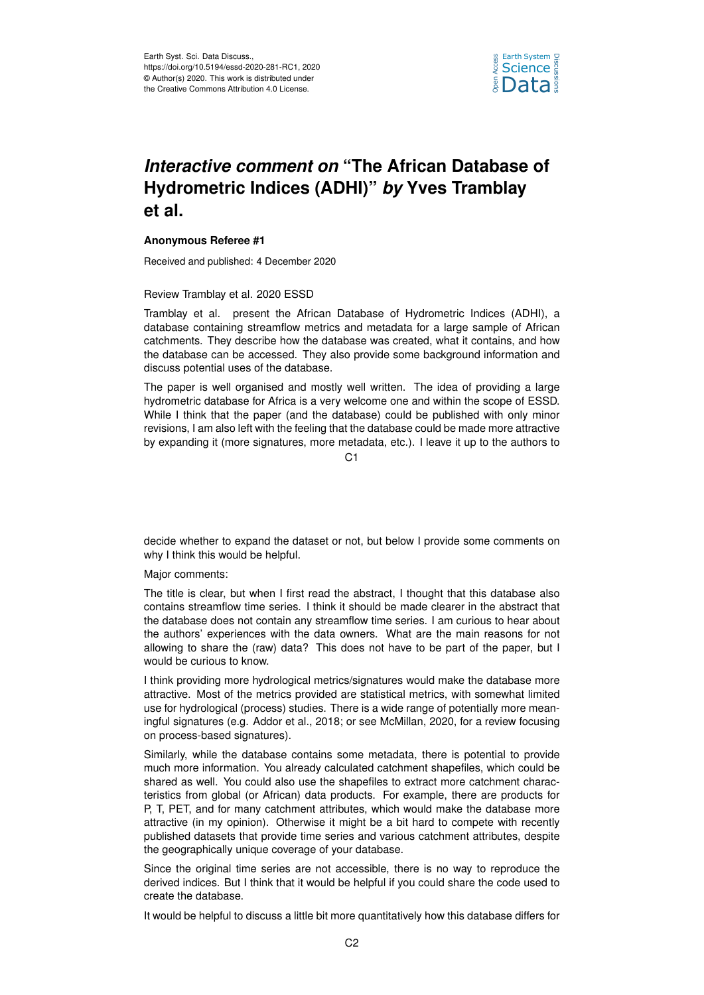

## *Interactive comment on* **"The African Database of Hydrometric Indices (ADHI)"** *by* **Yves Tramblay et al.**

## **Anonymous Referee #1**

Received and published: 4 December 2020

Review Tramblay et al. 2020 ESSD

Tramblay et al. present the African Database of Hydrometric Indices (ADHI), a database containing streamflow metrics and metadata for a large sample of African catchments. They describe how the database was created, what it contains, and how the database can be accessed. They also provide some background information and discuss potential uses of the database.

The paper is well organised and mostly well written. The idea of providing a large hydrometric database for Africa is a very welcome one and within the scope of ESSD. While I think that the paper (and the database) could be published with only minor revisions, I am also left with the feeling that the database could be made more attractive by expanding it (more signatures, more metadata, etc.). I leave it up to the authors to

 $C<sub>1</sub>$ 

decide whether to expand the dataset or not, but below I provide some comments on why I think this would be helpful.

Major comments:

The title is clear, but when I first read the abstract, I thought that this database also contains streamflow time series. I think it should be made clearer in the abstract that the database does not contain any streamflow time series. I am curious to hear about the authors' experiences with the data owners. What are the main reasons for not allowing to share the (raw) data? This does not have to be part of the paper, but I would be curious to know.

I think providing more hydrological metrics/signatures would make the database more attractive. Most of the metrics provided are statistical metrics, with somewhat limited use for hydrological (process) studies. There is a wide range of potentially more meaningful signatures (e.g. Addor et al., 2018; or see McMillan, 2020, for a review focusing on process-based signatures).

Similarly, while the database contains some metadata, there is potential to provide much more information. You already calculated catchment shapefiles, which could be shared as well. You could also use the shapefiles to extract more catchment characteristics from global (or African) data products. For example, there are products for P, T, PET, and for many catchment attributes, which would make the database more attractive (in my opinion). Otherwise it might be a bit hard to compete with recently published datasets that provide time series and various catchment attributes, despite the geographically unique coverage of your database.

Since the original time series are not accessible, there is no way to reproduce the derived indices. But I think that it would be helpful if you could share the code used to create the database.

It would be helpful to discuss a little bit more quantitatively how this database differs for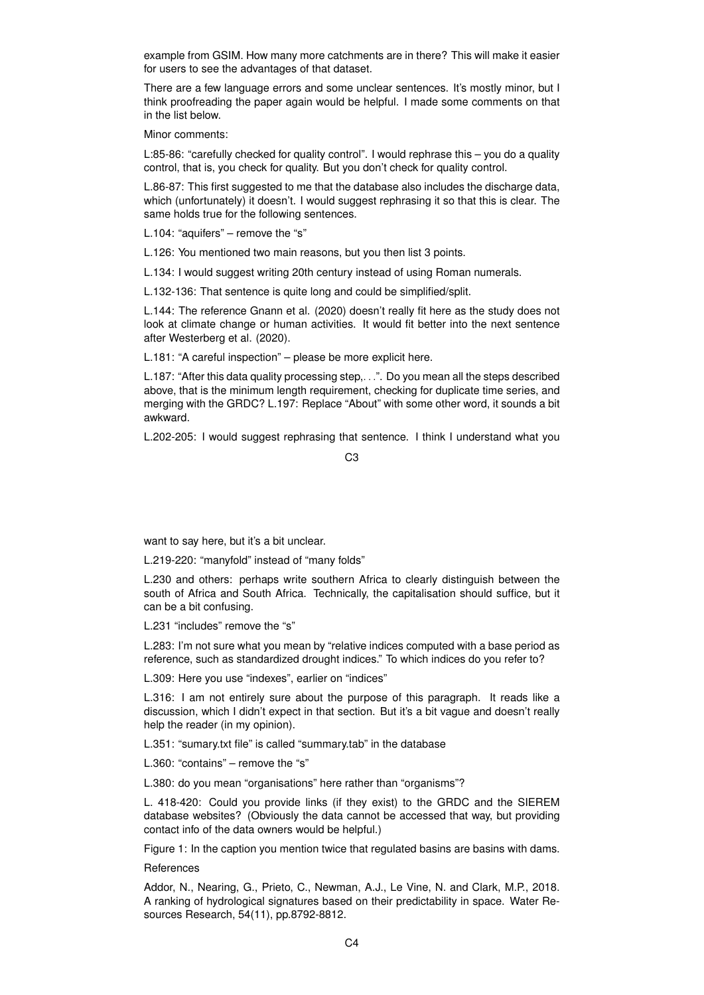example from GSIM. How many more catchments are in there? This will make it easier for users to see the advantages of that dataset.

There are a few language errors and some unclear sentences. It's mostly minor, but I think proofreading the paper again would be helpful. I made some comments on that in the list below.

Minor comments:

L:85-86: "carefully checked for quality control". I would rephrase this – you do a quality control, that is, you check for quality. But you don't check for quality control.

L.86-87: This first suggested to me that the database also includes the discharge data, which (unfortunately) it doesn't. I would suggest rephrasing it so that this is clear. The same holds true for the following sentences.

L.104: "aquifers" – remove the "s"

L.126: You mentioned two main reasons, but you then list 3 points.

L.134: I would suggest writing 20th century instead of using Roman numerals.

L.132-136: That sentence is quite long and could be simplified/split.

L.144: The reference Gnann et al. (2020) doesn't really fit here as the study does not look at climate change or human activities. It would fit better into the next sentence after Westerberg et al. (2020).

L.181: "A careful inspection" – please be more explicit here.

L.187: "After this data quality processing step,. . .". Do you mean all the steps described above, that is the minimum length requirement, checking for duplicate time series, and merging with the GRDC? L.197: Replace "About" with some other word, it sounds a bit awkward.

L.202-205: I would suggest rephrasing that sentence. I think I understand what you

C3

want to say here, but it's a bit unclear.

L.219-220: "manyfold" instead of "many folds"

L.230 and others: perhaps write southern Africa to clearly distinguish between the south of Africa and South Africa. Technically, the capitalisation should suffice, but it can be a bit confusing.

L.231 "includes" remove the "s"

L.283: I'm not sure what you mean by "relative indices computed with a base period as reference, such as standardized drought indices." To which indices do you refer to?

L.309: Here you use "indexes", earlier on "indices"

L.316: I am not entirely sure about the purpose of this paragraph. It reads like a discussion, which I didn't expect in that section. But it's a bit vague and doesn't really help the reader (in my opinion).

L.351: "sumary.txt file" is called "summary.tab" in the database

L.360: "contains" – remove the "s"

L.380: do you mean "organisations" here rather than "organisms"?

L. 418-420: Could you provide links (if they exist) to the GRDC and the SIEREM database websites? (Obviously the data cannot be accessed that way, but providing contact info of the data owners would be helpful.)

Figure 1: In the caption you mention twice that regulated basins are basins with dams.

**References** 

Addor, N., Nearing, G., Prieto, C., Newman, A.J., Le Vine, N. and Clark, M.P., 2018. A ranking of hydrological signatures based on their predictability in space. Water Resources Research, 54(11), pp.8792-8812.